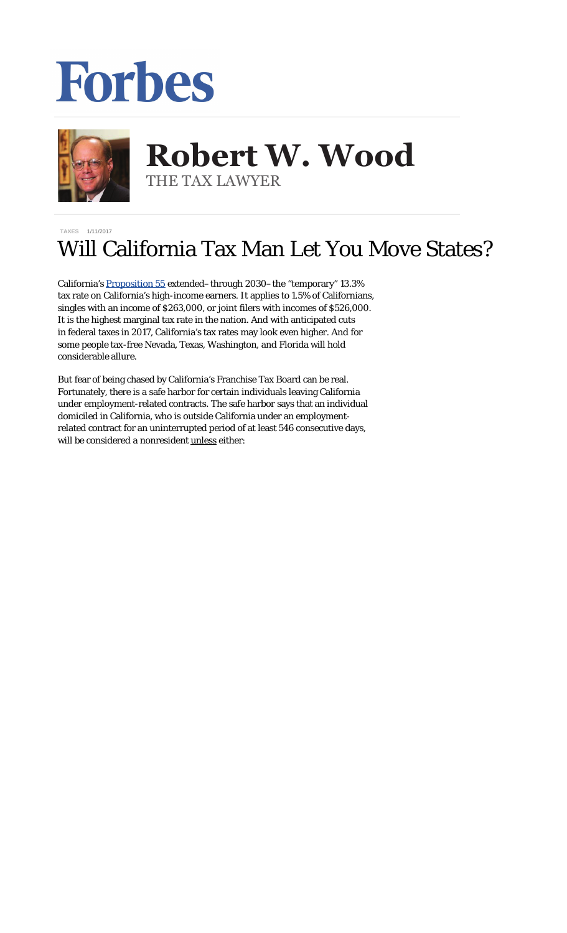## Forbes



## **Robert W. Wood Robert W. Wood** THE TAX LAWYER THE TAX LAWYER

## **[TAXES](http://www.forbes.com/taxes)** 1/11/2017

## Will California Tax Man Let You Move States?

California's [Proposition 55](http://www.latimes.com/nation/politics/trailguide/la-na-election-day-2016-proposition-55-income-tax-1478277671-htmlstory.html) extended–through 2030–the "temporary" 13.3% tax rate on California's high-income earners. It applies to 1.5% of Californians, singles with an income of \$263,000, or joint filers with incomes of \$526,000. It is the highest marginal tax rate in the nation. And with anticipated cuts in federal taxes in 2017, California's tax rates may look even higher. And for some people tax-free Nevada, Texas, Washington, and Florida will hold considerable allure.

But fear of being chased by California's Franchise Tax Board can be real. Fortunately, there is a safe harbor for certain individuals leaving California under employment-related contracts. The safe harbor says that an individual domiciled in California, who is outside California under an employmentrelated contract for an uninterrupted period of at least 546 consecutive days, will be considered a nonresident unless either: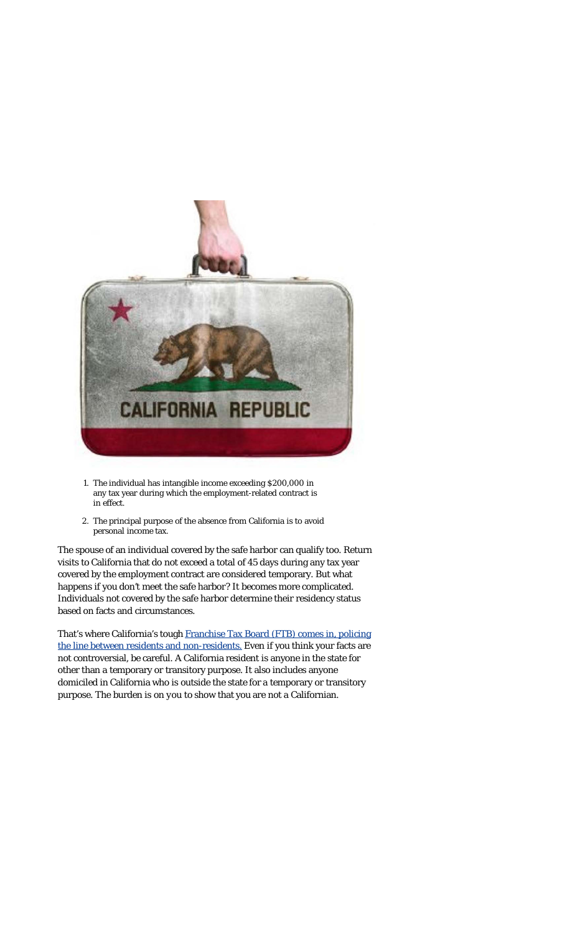

- 1. The individual has intangible income exceeding \$200,000 in any tax year during which the employment-related contract is in effect.
- 2. The principal purpose of the absence from California is to avoid personal income tax.

The spouse of an individual covered by the safe harbor can qualify too. Return visits to California that do not exceed a total of 45 days during any tax year covered by the employment contract are considered temporary. But what happens if you *don't* meet the safe harbor? It becomes more complicated. Individuals not covered by the safe harbor determine their residency status based on facts and circumstances.

That's where California's tough [Franchise Tax Board \(FTB\) comes in, policing](https://www.ftb.ca.gov/individuals/fileRtn/Nonresidents-Part-Year-Residents.shtml#residency_status) [the line between residents and non-residents.](https://www.ftb.ca.gov/individuals/fileRtn/Nonresidents-Part-Year-Residents.shtml#residency_status) Even if you think your facts are not controversial, be careful. A California resident is anyone in the state for other than a temporary or transitory purpose. It also includes anyone domiciled in California who is outside the state for a temporary or transitory purpose. The burden is on *you* to show that you are *not* a Californian.